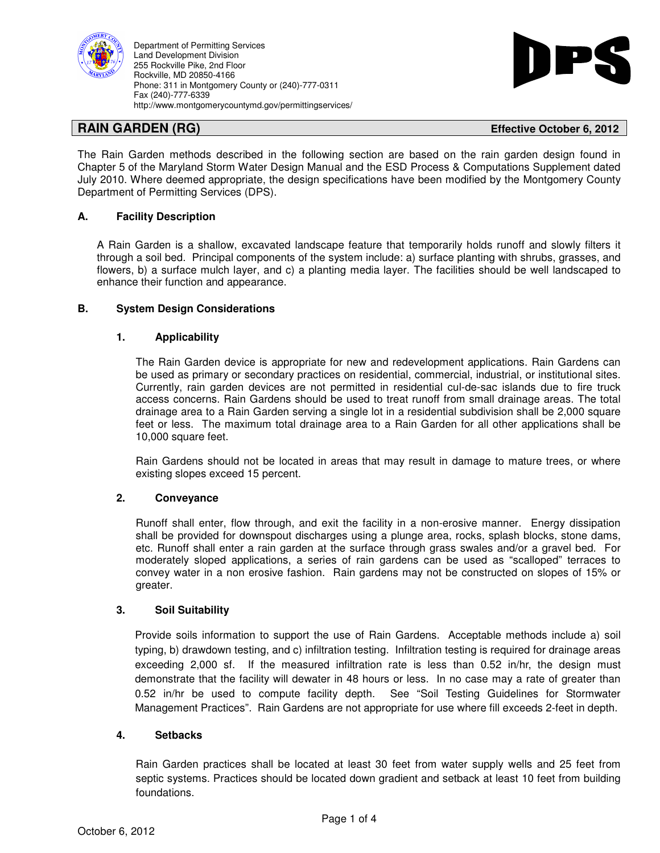



## **RAIN GARDEN (RG) Effective October 6, 2012**

The Rain Garden methods described in the following section are based on the rain garden design found in Chapter 5 of the Maryland Storm Water Design Manual and the ESD Process & Computations Supplement dated July 2010. Where deemed appropriate, the design specifications have been modified by the Montgomery County Department of Permitting Services (DPS).

# **A. Facility Description**

A Rain Garden is a shallow, excavated landscape feature that temporarily holds runoff and slowly filters it through a soil bed. Principal components of the system include: a) surface planting with shrubs, grasses, and flowers, b) a surface mulch layer, and c) a planting media layer. The facilities should be well landscaped to enhance their function and appearance.

## **B. System Design Considerations**

## **1. Applicability**

The Rain Garden device is appropriate for new and redevelopment applications. Rain Gardens can be used as primary or secondary practices on residential, commercial, industrial, or institutional sites. Currently, rain garden devices are not permitted in residential cul-de-sac islands due to fire truck access concerns. Rain Gardens should be used to treat runoff from small drainage areas. The total drainage area to a Rain Garden serving a single lot in a residential subdivision shall be 2,000 square feet or less. The maximum total drainage area to a Rain Garden for all other applications shall be 10,000 square feet.

Rain Gardens should not be located in areas that may result in damage to mature trees, or where existing slopes exceed 15 percent.

## **2. Conveyance**

Runoff shall enter, flow through, and exit the facility in a non-erosive manner. Energy dissipation shall be provided for downspout discharges using a plunge area, rocks, splash blocks, stone dams, etc. Runoff shall enter a rain garden at the surface through grass swales and/or a gravel bed. For moderately sloped applications, a series of rain gardens can be used as "scalloped" terraces to convey water in a non erosive fashion. Rain gardens may not be constructed on slopes of 15% or greater.

## **3. Soil Suitability**

Provide soils information to support the use of Rain Gardens. Acceptable methods include a) soil typing, b) drawdown testing, and c) infiltration testing. Infiltration testing is required for drainage areas exceeding 2,000 sf. If the measured infiltration rate is less than 0.52 in/hr, the design must demonstrate that the facility will dewater in 48 hours or less. In no case may a rate of greater than 0.52 in/hr be used to compute facility depth. See "Soil Testing Guidelines for Stormwater Management Practices". Rain Gardens are not appropriate for use where fill exceeds 2-feet in depth.

## **4. Setbacks**

Rain Garden practices shall be located at least 30 feet from water supply wells and 25 feet from septic systems. Practices should be located down gradient and setback at least 10 feet from building foundations.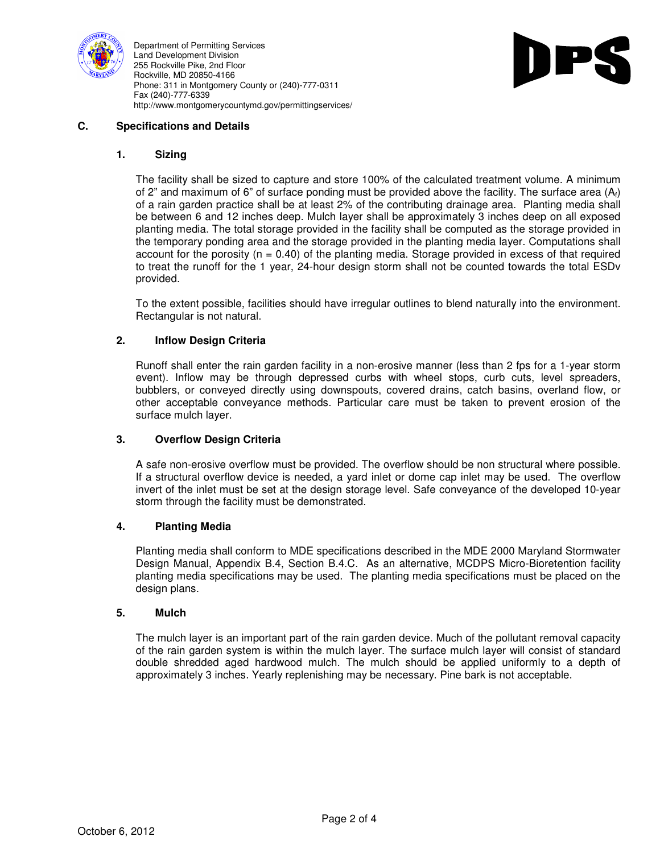



## **C. Specifications and Details**

#### **1. Sizing**

The facility shall be sized to capture and store 100% of the calculated treatment volume. A minimum of 2" and maximum of 6" of surface ponding must be provided above the facility. The surface area  $(A<sub>f</sub>)$ of a rain garden practice shall be at least 2% of the contributing drainage area. Planting media shall be between 6 and 12 inches deep. Mulch layer shall be approximately 3 inches deep on all exposed planting media. The total storage provided in the facility shall be computed as the storage provided in the temporary ponding area and the storage provided in the planting media layer. Computations shall account for the porosity ( $n = 0.40$ ) of the planting media. Storage provided in excess of that required to treat the runoff for the 1 year, 24-hour design storm shall not be counted towards the total ESDv provided.

To the extent possible, facilities should have irregular outlines to blend naturally into the environment. Rectangular is not natural.

#### **2. Inflow Design Criteria**

Runoff shall enter the rain garden facility in a non-erosive manner (less than 2 fps for a 1-year storm event). Inflow may be through depressed curbs with wheel stops, curb cuts, level spreaders, bubblers, or conveyed directly using downspouts, covered drains, catch basins, overland flow, or other acceptable conveyance methods. Particular care must be taken to prevent erosion of the surface mulch layer.

#### **3. Overflow Design Criteria**

A safe non-erosive overflow must be provided. The overflow should be non structural where possible. If a structural overflow device is needed, a yard inlet or dome cap inlet may be used. The overflow invert of the inlet must be set at the design storage level. Safe conveyance of the developed 10-year storm through the facility must be demonstrated.

#### **4. Planting Media**

Planting media shall conform to MDE specifications described in the MDE 2000 Maryland Stormwater Design Manual, Appendix B.4, Section B.4.C. As an alternative, MCDPS Micro-Bioretention facility planting media specifications may be used. The planting media specifications must be placed on the design plans.

#### **5. Mulch**

The mulch layer is an important part of the rain garden device. Much of the pollutant removal capacity of the rain garden system is within the mulch layer. The surface mulch layer will consist of standard double shredded aged hardwood mulch. The mulch should be applied uniformly to a depth of approximately 3 inches. Yearly replenishing may be necessary. Pine bark is not acceptable.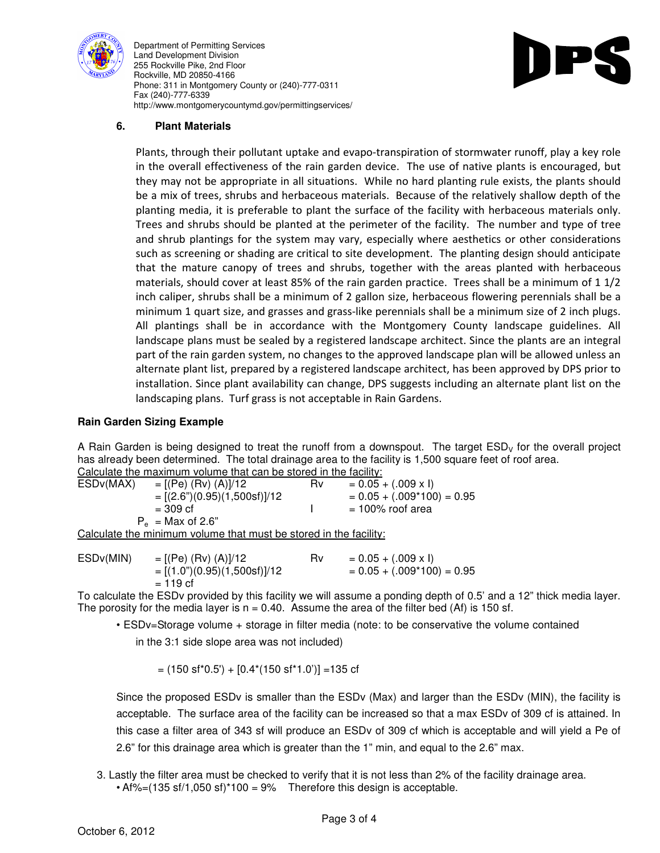



# **6. Plant Materials**

Plants, through their pollutant uptake and evapo-transpiration of stormwater runoff, play a key role in the overall effectiveness of the rain garden device. The use of native plants is encouraged, but they may not be appropriate in all situations. While no hard planting rule exists, the plants should be a mix of trees, shrubs and herbaceous materials. Because of the relatively shallow depth of the planting media, it is preferable to plant the surface of the facility with herbaceous materials only. Trees and shrubs should be planted at the perimeter of the facility. The number and type of tree and shrub plantings for the system may vary, especially where aesthetics or other considerations such as screening or shading are critical to site development. The planting design should anticipate that the mature canopy of trees and shrubs, together with the areas planted with herbaceous materials, should cover at least 85% of the rain garden practice. Trees shall be a minimum of 1 1/2 inch caliper, shrubs shall be a minimum of 2 gallon size, herbaceous flowering perennials shall be a minimum 1 quart size, and grasses and grass-like perennials shall be a minimum size of 2 inch plugs. All plantings shall be in accordance with the Montgomery County landscape guidelines. All landscape plans must be sealed by a registered landscape architect. Since the plants are an integral part of the rain garden system, no changes to the approved landscape plan will be allowed unless an alternate plant list, prepared by a registered landscape architect, has been approved by DPS prior to installation. Since plant availability can change, DPS suggests including an alternate plant list on the landscaping plans. Turf grass is not acceptable in Rain Gardens.

#### **Rain Garden Sizing Example**

A Rain Garden is being designed to treat the runoff from a downspout. The target ESD<sub>v</sub> for the overall project has already been determined. The total drainage area to the facility is 1,500 square feet of roof area. Calculate the maximum volume that can be stored in the facility:

| $\sim$ 0.000 0.000 0.000 0.000 0.000 0.000 0.000 0.000 0.000 0.000 0.000 0.000 0.000 0.000 0.000 0.000 0.000 0.000 0.000 0.000 0.000 0.000 0.000 0.000 0.000 0.000 0.000 0.000 0.000 0.000 0.000 0.000 0.000 0.000 0.000 0.000 |                               |    |                              |
|--------------------------------------------------------------------------------------------------------------------------------------------------------------------------------------------------------------------------------|-------------------------------|----|------------------------------|
| ESD <sub>v</sub> (MAX)                                                                                                                                                                                                         | $=[(Pe) (Rv) (A)]/12$         | R٧ | $= 0.05 + (.009 \times I)$   |
|                                                                                                                                                                                                                                | $=[(2.6")(0.95)(1,500sf)]/12$ |    | $= 0.05 + (.009*100) = 0.95$ |
|                                                                                                                                                                                                                                | $= 309 \text{ cf}$            |    | $= 100\%$ roof area          |
| $P_e$ = Max of 2.6"                                                                                                                                                                                                            |                               |    |                              |
| Calculate the minimum volume that must be stored in the facility:                                                                                                                                                              |                               |    |                              |

ESDv(MIN) =  $[(Pe)$   $(Rv)$   $(A)]/12$  Rv = 0.05 + (.009 x I)  $=[(1.0") (0.95) (1.500 \text{ s})]/12$   $= 0.05 + (.009 * 100) = 0.95$  $= 119 \text{ cf}$ 

To calculate the ESDv provided by this facility we will assume a ponding depth of 0.5' and a 12" thick media layer. The porosity for the media layer is  $n = 0.40$ . Assume the area of the filter bed (Af) is 150 sf.

• ESDv=Storage volume + storage in filter media (note: to be conservative the volume contained

in the 3:1 side slope area was not included)

 $=$  (150 sf<sup>\*</sup>0.5') + [0.4<sup>\*</sup>(150 sf<sup>\*</sup>1.0')] = 135 cf

Since the proposed ESDv is smaller than the ESDv (Max) and larger than the ESDv (MIN), the facility is acceptable. The surface area of the facility can be increased so that a max ESDv of 309 cf is attained. In this case a filter area of 343 sf will produce an ESDv of 309 cf which is acceptable and will yield a Pe of 2.6" for this drainage area which is greater than the 1" min, and equal to the 2.6" max.

- 3. Lastly the filter area must be checked to verify that it is not less than 2% of the facility drainage area.
	- Af%= $(135 \text{ sf}/1,050 \text{ sf})*100 = 9%$  Therefore this design is acceptable.